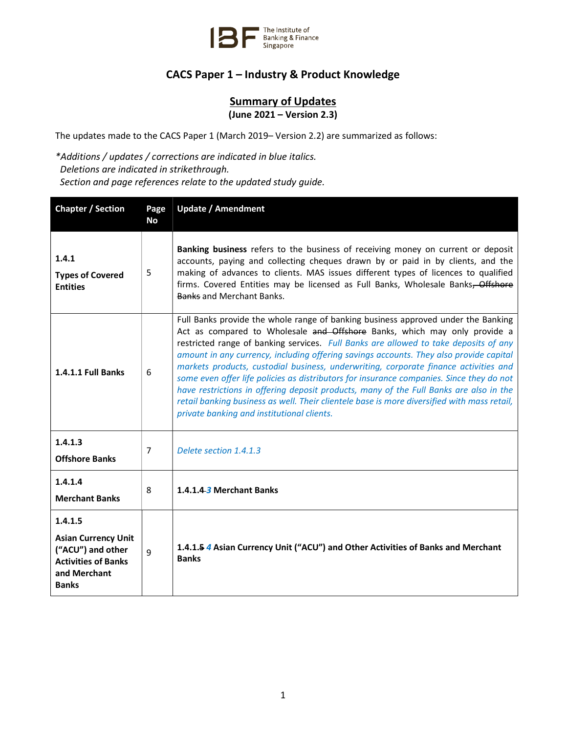

## CACS Paper 1 – Industry & Product Knowledge

## **Summary of Updates** (June 2021 – Version 2.3)

The updates made to the CACS Paper 1 (March 2019– Version 2.2) are summarized as follows:

\*Additions / updates / corrections are indicated in blue italics. Deletions are indicated in strikethrough. Section and page references relate to the updated study guide.

| <b>Chapter / Section</b>                                                                                                 | Page<br><b>No</b> | <b>Update / Amendment</b>                                                                                                                                                                                                                                                                                                                                                                                                                                                                                                                                                                                                                                                                                                                                                   |
|--------------------------------------------------------------------------------------------------------------------------|-------------------|-----------------------------------------------------------------------------------------------------------------------------------------------------------------------------------------------------------------------------------------------------------------------------------------------------------------------------------------------------------------------------------------------------------------------------------------------------------------------------------------------------------------------------------------------------------------------------------------------------------------------------------------------------------------------------------------------------------------------------------------------------------------------------|
| 1.4.1<br><b>Types of Covered</b><br><b>Entities</b>                                                                      | 5                 | Banking business refers to the business of receiving money on current or deposit<br>accounts, paying and collecting cheques drawn by or paid in by clients, and the<br>making of advances to clients. MAS issues different types of licences to qualified<br>firms. Covered Entities may be licensed as Full Banks, Wholesale Banks, Offshore<br><b>Banks and Merchant Banks.</b>                                                                                                                                                                                                                                                                                                                                                                                           |
| <b>1.4.1.1 Full Banks</b>                                                                                                | 6                 | Full Banks provide the whole range of banking business approved under the Banking<br>Act as compared to Wholesale and Offshore Banks, which may only provide a<br>restricted range of banking services. Full Banks are allowed to take deposits of any<br>amount in any currency, including offering savings accounts. They also provide capital<br>markets products, custodial business, underwriting, corporate finance activities and<br>some even offer life policies as distributors for insurance companies. Since they do not<br>have restrictions in offering deposit products, many of the Full Banks are also in the<br>retail banking business as well. Their clientele base is more diversified with mass retail,<br>private banking and institutional clients. |
| 1.4.1.3<br><b>Offshore Banks</b>                                                                                         | 7                 | Delete section 1.4.1.3                                                                                                                                                                                                                                                                                                                                                                                                                                                                                                                                                                                                                                                                                                                                                      |
| 1.4.1.4<br><b>Merchant Banks</b>                                                                                         | 8                 | 1.4.1.4.3 Merchant Banks                                                                                                                                                                                                                                                                                                                                                                                                                                                                                                                                                                                                                                                                                                                                                    |
| 1.4.1.5<br><b>Asian Currency Unit</b><br>("ACU") and other<br><b>Activities of Banks</b><br>and Merchant<br><b>Banks</b> | 9                 | 1.4.1.5 4 Asian Currency Unit ("ACU") and Other Activities of Banks and Merchant<br><b>Banks</b>                                                                                                                                                                                                                                                                                                                                                                                                                                                                                                                                                                                                                                                                            |